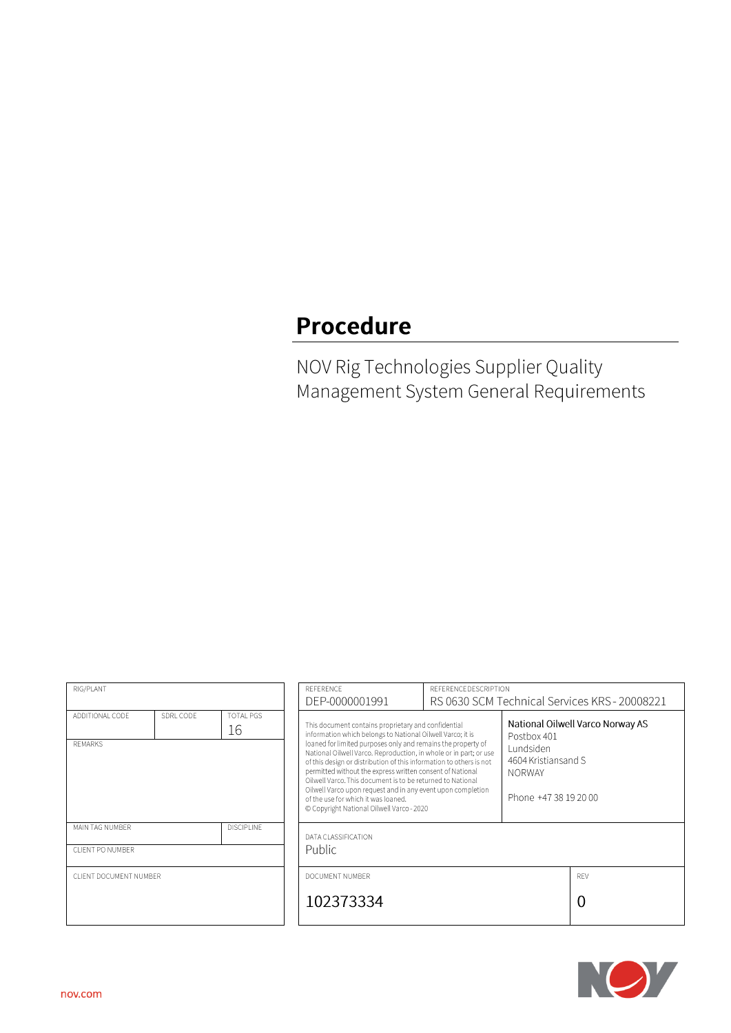## **Procedure**

NOV Rig Technologies Supplier Quality Management System General Requirements

| RIG/PLANT                           |           |                        | REFERENCE<br>DEP-0000001991                                                                                                                                                                                                                                                                                                                                                                                                                                                                                                                                                                                                                                                                                                                  | REFERENCE DESCRIPTION |  | RS 0630 SCM Technical Services KRS - 20008221 |
|-------------------------------------|-----------|------------------------|----------------------------------------------------------------------------------------------------------------------------------------------------------------------------------------------------------------------------------------------------------------------------------------------------------------------------------------------------------------------------------------------------------------------------------------------------------------------------------------------------------------------------------------------------------------------------------------------------------------------------------------------------------------------------------------------------------------------------------------------|-----------------------|--|-----------------------------------------------|
| ADDITIONAL CODE<br><b>REMARKS</b>   | SDRL CODE | <b>TOTAL PGS</b><br>16 | National Oilwell Varco Norway AS<br>This document contains proprietary and confidential<br>information which belongs to National Oilwell Varco; it is<br>Postbox 401<br>loaned for limited purposes only and remains the property of<br>Lundsiden<br>National Oilwell Varco. Reproduction, in whole or in part; or use<br>4604 Kristiansand S<br>of this design or distribution of this information to others is not<br>permitted without the express written consent of National<br><b>NORWAY</b><br>Oilwell Varco. This document is to be returned to National<br>Oilwell Varco upon request and in any event upon completion<br>Phone +47 38 19 20 00<br>of the use for which it was loaned.<br>© Copyright National Oilwell Varco - 2020 |                       |  |                                               |
| MAIN TAG NUMBER<br>CLIENT PO NUMBER |           | <b>DISCIPLINE</b>      | DATA CLASSIFICATION<br>Public                                                                                                                                                                                                                                                                                                                                                                                                                                                                                                                                                                                                                                                                                                                |                       |  |                                               |
| CLIENT DOCUMENT NUMBER              |           |                        | DOCUMENT NUMBER<br>102373334                                                                                                                                                                                                                                                                                                                                                                                                                                                                                                                                                                                                                                                                                                                 |                       |  | REV<br>0                                      |

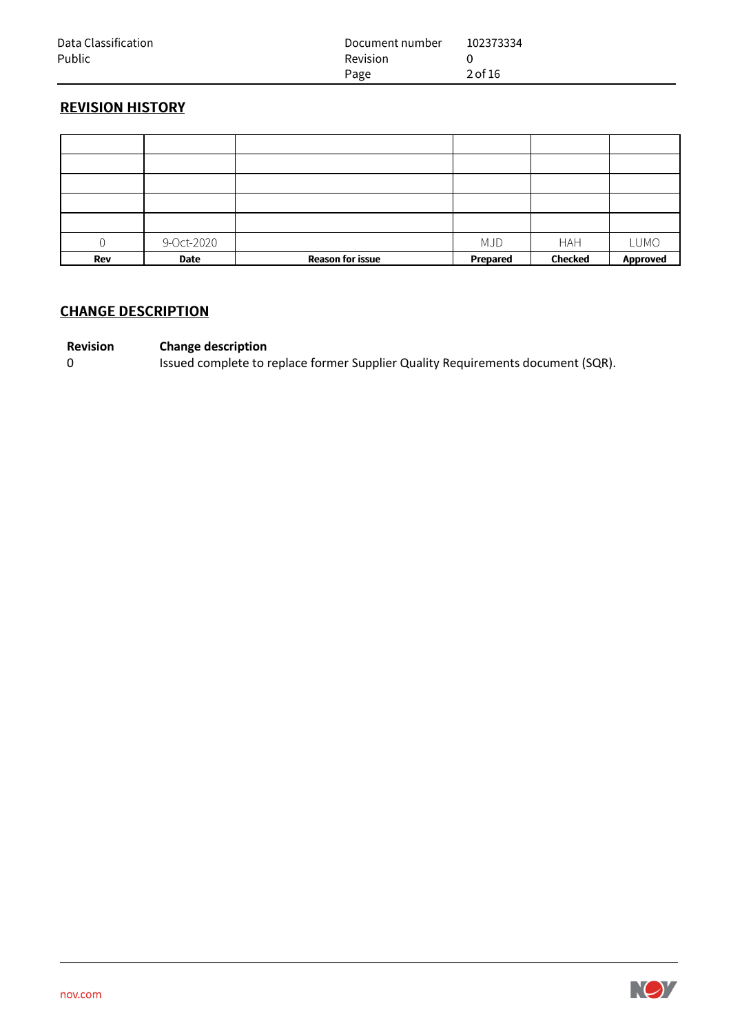| Data Classification | Document number | 102373334 |
|---------------------|-----------------|-----------|
| Public              | <b>Revision</b> |           |
|                     | Page            | 2 of 16   |

## **REVISION HISTORY**

|     | 9-Oct-2020 |                         | <b>MJD</b> | <b>HAH</b>     | <b>LUMO</b>     |
|-----|------------|-------------------------|------------|----------------|-----------------|
| Rev | Date       | <b>Reason for issue</b> | Prepared   | <b>Checked</b> | <b>Approved</b> |

## **CHANGE DESCRIPTION**

# **Revision Change description**<br>0 **Issued complete to r**

Issued complete to replace former Supplier Quality Requirements document (SQR).

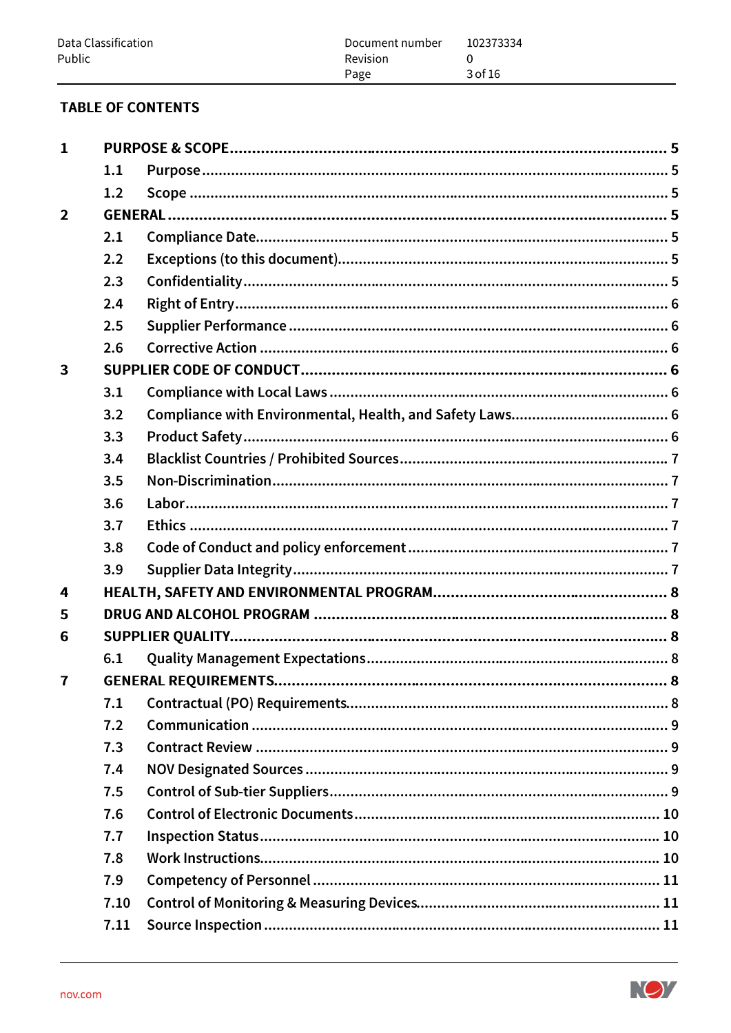## **TABLE OF CONTENTS**

| $\mathbf{1}$            |      |  |
|-------------------------|------|--|
|                         | 1.1  |  |
|                         | 1.2  |  |
| $\overline{2}$          |      |  |
|                         | 2.1  |  |
|                         | 2.2  |  |
|                         | 2.3  |  |
|                         | 2.4  |  |
|                         | 2.5  |  |
|                         | 2.6  |  |
| $\overline{\mathbf{3}}$ |      |  |
|                         | 3.1  |  |
|                         | 3.2  |  |
|                         | 3.3  |  |
|                         | 3.4  |  |
|                         | 3.5  |  |
|                         | 3.6  |  |
|                         | 3.7  |  |
|                         | 3.8  |  |
|                         | 3.9  |  |
| 4                       |      |  |
| 5                       |      |  |
| 6                       |      |  |
|                         | 6.1  |  |
| $\overline{7}$          |      |  |
|                         | 7.1  |  |
|                         | 7.2  |  |
|                         | 7.3  |  |
|                         | 7.4  |  |
|                         | 7.5  |  |
|                         | 7.6  |  |
|                         | 7.7  |  |
|                         | 7.8  |  |
|                         | 7.9  |  |
|                         | 7.10 |  |
|                         | 7.11 |  |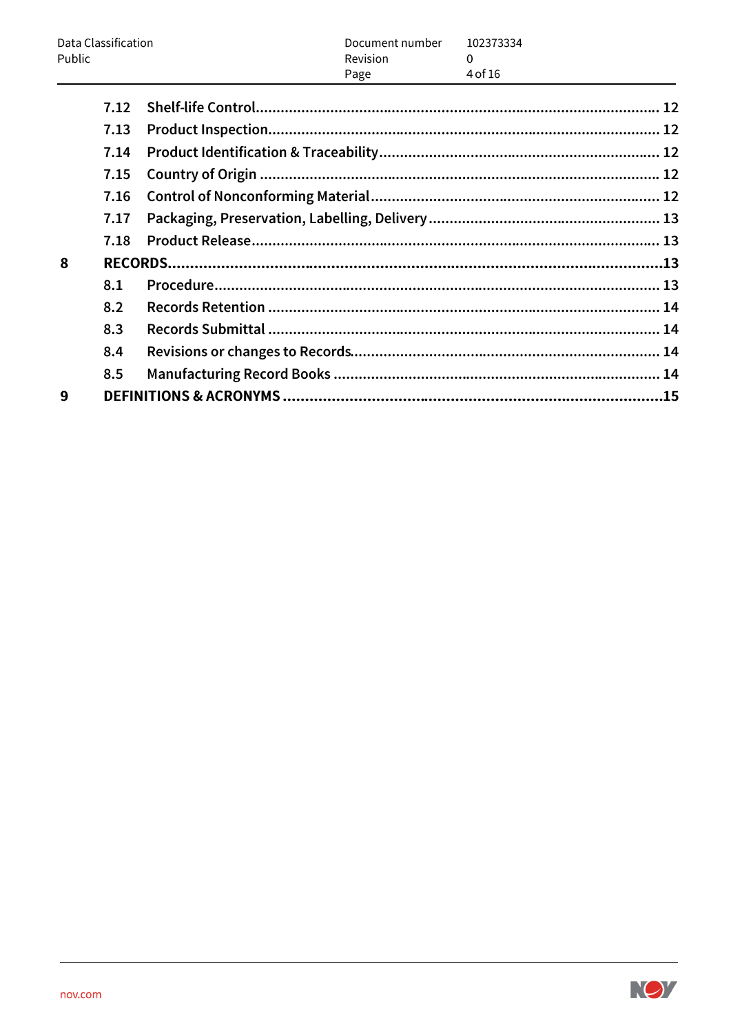|        | Data Classification | Document number         | 102373334           |  |
|--------|---------------------|-------------------------|---------------------|--|
| Public |                     | <b>Revision</b><br>Page | $\Omega$<br>4 of 16 |  |
|        | 7.12                |                         |                     |  |
|        | 7.13                |                         |                     |  |
|        | 7.14                |                         |                     |  |
|        | 7.15                |                         |                     |  |
|        | 7.16                |                         |                     |  |
|        | 7.17                |                         |                     |  |
|        | 7.18                |                         |                     |  |
| 8      |                     |                         |                     |  |
|        | 8.1                 |                         |                     |  |
|        | 8.2                 |                         |                     |  |
|        | 8.3                 |                         |                     |  |
|        | 8.4                 |                         |                     |  |
|        | 8.5                 |                         |                     |  |
| 9      |                     |                         |                     |  |

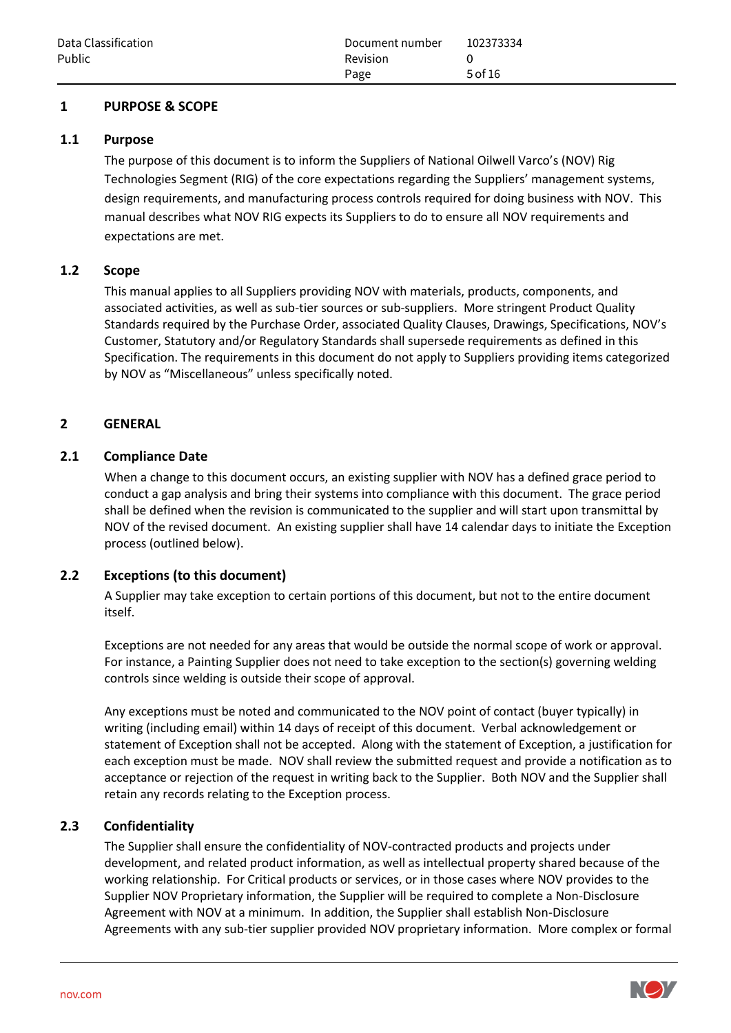#### **1 PURPOSE & SCOPE**

#### **1.1 Purpose**

The purpose of this document is to inform the Suppliers of National Oilwell Varco's (NOV) Rig Technologies Segment (RIG) of the core expectations regarding the Suppliers' management systems, design requirements, and manufacturing process controls required for doing business with NOV. This manual describes what NOV RIG expects its Suppliers to do to ensure all NOV requirements and expectations are met.

#### **1.2 Scope**

This manual applies to all Suppliers providing NOV with materials, products, components, and associated activities, as well as sub-tier sources or sub-suppliers. More stringent Product Quality Standards required by the Purchase Order, associated Quality Clauses, Drawings, Specifications, NOV's Customer, Statutory and/or Regulatory Standards shall supersede requirements as defined in this Specification. The requirements in this document do not apply to Suppliers providing items categorized by NOV as "Miscellaneous" unless specifically noted.

#### **2 GENERAL**

## **2.1 Compliance Date**

When a change to this document occurs, an existing supplier with NOV has a defined grace period to conduct a gap analysis and bring their systems into compliance with this document. The grace period shall be defined when the revision is communicated to the supplier and will start upon transmittal by NOV of the revised document. An existing supplier shall have 14 calendar days to initiate the Exception process (outlined below).

## **2.2 Exceptions (to this document)**

A Supplier may take exception to certain portions of this document, but not to the entire document itself.

Exceptions are not needed for any areas that would be outside the normal scope of work or approval. For instance, a Painting Supplier does not need to take exception to the section(s) governing welding controls since welding is outside their scope of approval.

Any exceptions must be noted and communicated to the NOV point of contact (buyer typically) in writing (including email) within 14 days of receipt of this document. Verbal acknowledgement or statement of Exception shall not be accepted. Along with the statement of Exception, a justification for each exception must be made. NOV shall review the submitted request and provide a notification as to acceptance or rejection of the request in writing back to the Supplier. Both NOV and the Supplier shall retain any records relating to the Exception process.

## **2.3 Confidentiality**

The Supplier shall ensure the confidentiality of NOV-contracted products and projects under development, and related product information, as well as intellectual property shared because of the working relationship. For Critical products or services, or in those cases where NOV provides to the Supplier NOV Proprietary information, the Supplier will be required to complete a Non-Disclosure Agreement with NOV at a minimum. In addition, the Supplier shall establish Non-Disclosure Agreements with any sub-tier supplier provided NOV proprietary information. More complex or formal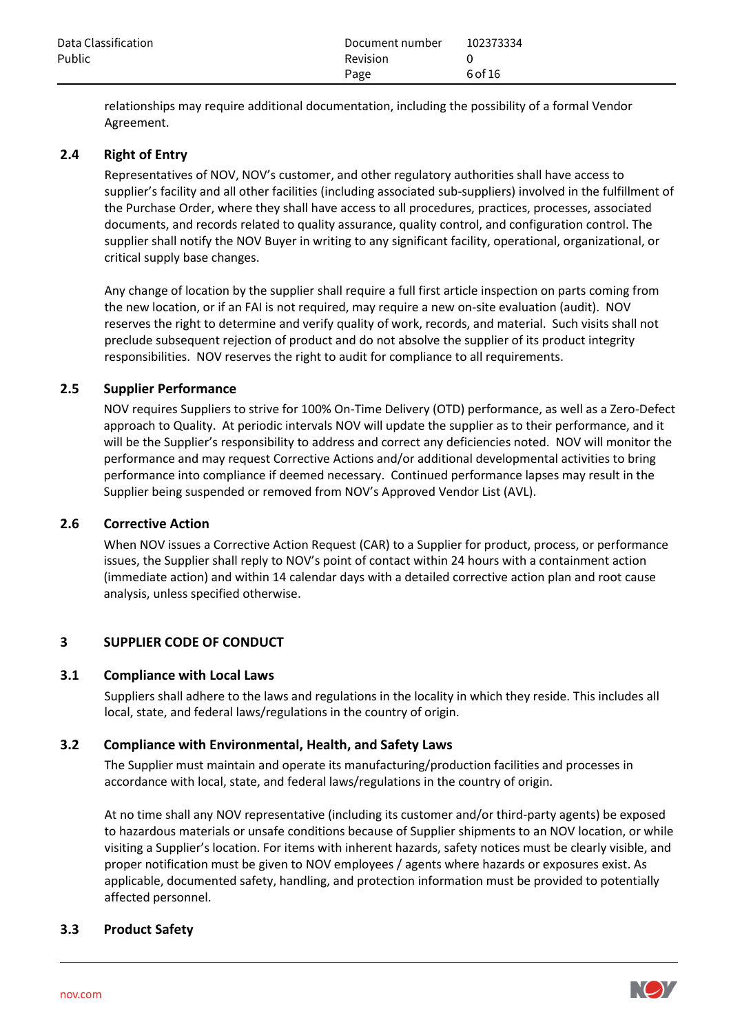| Data Classification | Document number | 102373334 |
|---------------------|-----------------|-----------|
| Public              | <b>Revision</b> |           |
|                     | Page            | 6 of 16   |

relationships may require additional documentation, including the possibility of a formal Vendor Agreement.

#### **2.4 Right of Entry**

Representatives of NOV, NOV's customer, and other regulatory authorities shall have access to supplier's facility and all other facilities (including associated sub-suppliers) involved in the fulfillment of the Purchase Order, where they shall have access to all procedures, practices, processes, associated documents, and records related to quality assurance, quality control, and configuration control. The supplier shall notify the NOV Buyer in writing to any significant facility, operational, organizational, or critical supply base changes.

Any change of location by the supplier shall require a full first article inspection on parts coming from the new location, or if an FAI is not required, may require a new on-site evaluation (audit). NOV reserves the right to determine and verify quality of work, records, and material. Such visits shall not preclude subsequent rejection of product and do not absolve the supplier of its product integrity responsibilities. NOV reserves the right to audit for compliance to all requirements.

#### **2.5 Supplier Performance**

NOV requires Suppliers to strive for 100% On-Time Delivery (OTD) performance, as well as a Zero-Defect approach to Quality. At periodic intervals NOV will update the supplier as to their performance, and it will be the Supplier's responsibility to address and correct any deficiencies noted. NOV will monitor the performance and may request Corrective Actions and/or additional developmental activities to bring performance into compliance if deemed necessary. Continued performance lapses may result in the Supplier being suspended or removed from NOV's Approved Vendor List (AVL).

#### **2.6 Corrective Action**

When NOV issues a Corrective Action Request (CAR) to a Supplier for product, process, or performance issues, the Supplier shall reply to NOV's point of contact within 24 hours with a containment action (immediate action) and within 14 calendar days with a detailed corrective action plan and root cause analysis, unless specified otherwise.

## **3 SUPPLIER CODE OF CONDUCT**

#### **3.1 Compliance with Local Laws**

Suppliers shall adhere to the laws and regulations in the locality in which they reside. This includes all local, state, and federal laws/regulations in the country of origin.

#### **3.2 Compliance with Environmental, Health, and Safety Laws**

The Supplier must maintain and operate its manufacturing/production facilities and processes in accordance with local, state, and federal laws/regulations in the country of origin.

At no time shall any NOV representative (including its customer and/or third-party agents) be exposed to hazardous materials or unsafe conditions because of Supplier shipments to an NOV location, or while visiting a Supplier's location. For items with inherent hazards, safety notices must be clearly visible, and proper notification must be given to NOV employees / agents where hazards or exposures exist. As applicable, documented safety, handling, and protection information must be provided to potentially affected personnel.

#### **3.3 Product Safety**

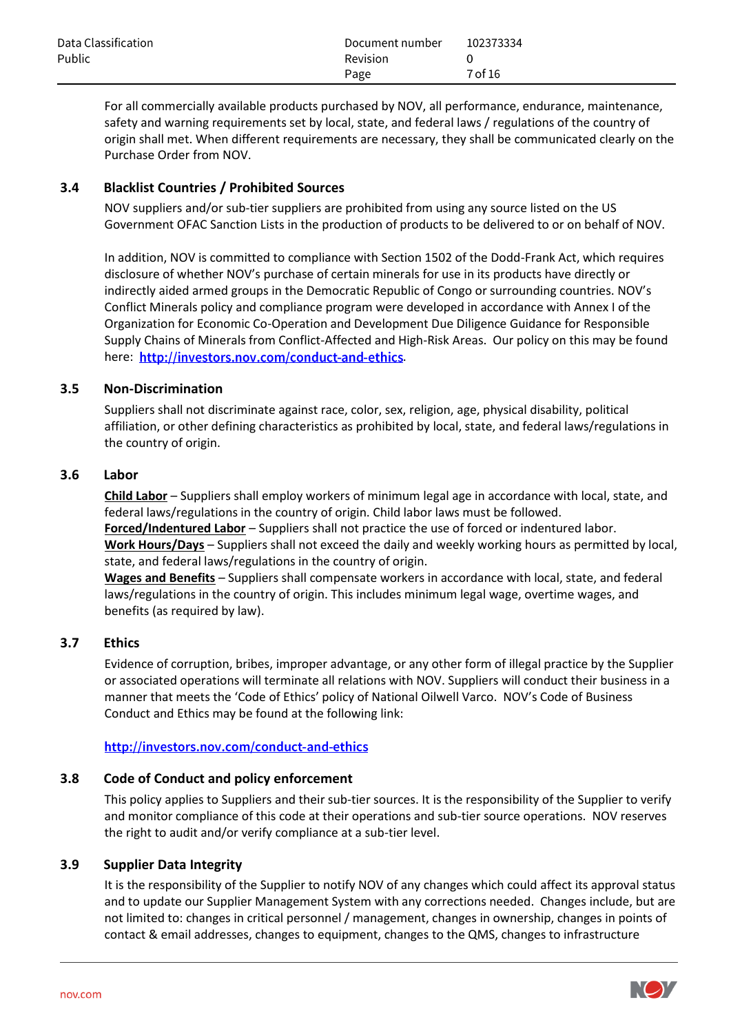| Data Classification | Document number | 102373334 |
|---------------------|-----------------|-----------|
| Public              | Revision        |           |
|                     | Page            | 7 of 16   |

For all commercially available products purchased by NOV, all performance, endurance, maintenance, safety and warning requirements set by local, state, and federal laws / regulations of the country of origin shall met. When different requirements are necessary, they shall be communicated clearly on the Purchase Order from NOV.

## **3.4 Blacklist Countries / Prohibited Sources**

NOV suppliers and/or sub-tier suppliers are prohibited from using any source listed on the US Government OFAC Sanction Lists in the production of products to be delivered to or on behalf of NOV.

In addition, NOV is committed to compliance with Section 1502 of the Dodd-Frank Act, which requires disclosure of whether NOV's purchase of certain minerals for use in its products have directly or indirectly aided armed groups in the Democratic Republic of Congo or surrounding countries. NOV's Conflict Minerals policy and compliance program were developed in accordance with Annex I of the Organization for Economic Co-Operation and Development Due Diligence Guidance for Responsible Supply Chains of Minerals from Conflict-Affected and High-Risk Areas. Our policy on this may be found here: http://investors.nov.com/conduct-and-ethics.

## **3.5 Non-Discrimination**

Suppliers shall not discriminate against race, color, sex, religion, age, physical disability, political affiliation, or other defining characteristics as prohibited by local, state, and federal laws/regulations in the country of origin.

## **3.6 Labor**

**Child Labor** – Suppliers shall employ workers of minimum legal age in accordance with local, state, and federal laws/regulations in the country of origin. Child labor laws must be followed. **Forced/Indentured Labor** – Suppliers shall not practice the use of forced or indentured labor.

**Work Hours/Days** – Suppliers shall not exceed the daily and weekly working hours as permitted by local, state, and federal laws/regulations in the country of origin.

**Wages and Benefits** – Suppliers shall compensate workers in accordance with local, state, and federal laws/regulations in the country of origin. This includes minimum legal wage, overtime wages, and benefits (as required by law).

## **3.7 Ethics**

Evidence of corruption, bribes, improper advantage, or any other form of illegal practice by the Supplier or associated operations will terminate all relations with NOV. Suppliers will conduct their business in a manner that meets the 'Code of Ethics' policy of National Oilwell Varco. NOV's Code of Business Conduct and Ethics may be found at the following link:

## http://investors.nov.com/conduct-and-ethics

## **3.8 Code of Conduct and policy enforcement**

This policy applies to Suppliers and their sub-tier sources. It is the responsibility of the Supplier to verify and monitor compliance of this code at their operations and sub-tier source operations. NOV reserves the right to audit and/or verify compliance at a sub-tier level.

## **3.9 Supplier Data Integrity**

It is the responsibility of the Supplier to notify NOV of any changes which could affect its approval status and to update our Supplier Management System with any corrections needed. Changes include, but are not limited to: changes in critical personnel / management, changes in ownership, changes in points of contact & email addresses, changes to equipment, changes to the QMS, changes to infrastructure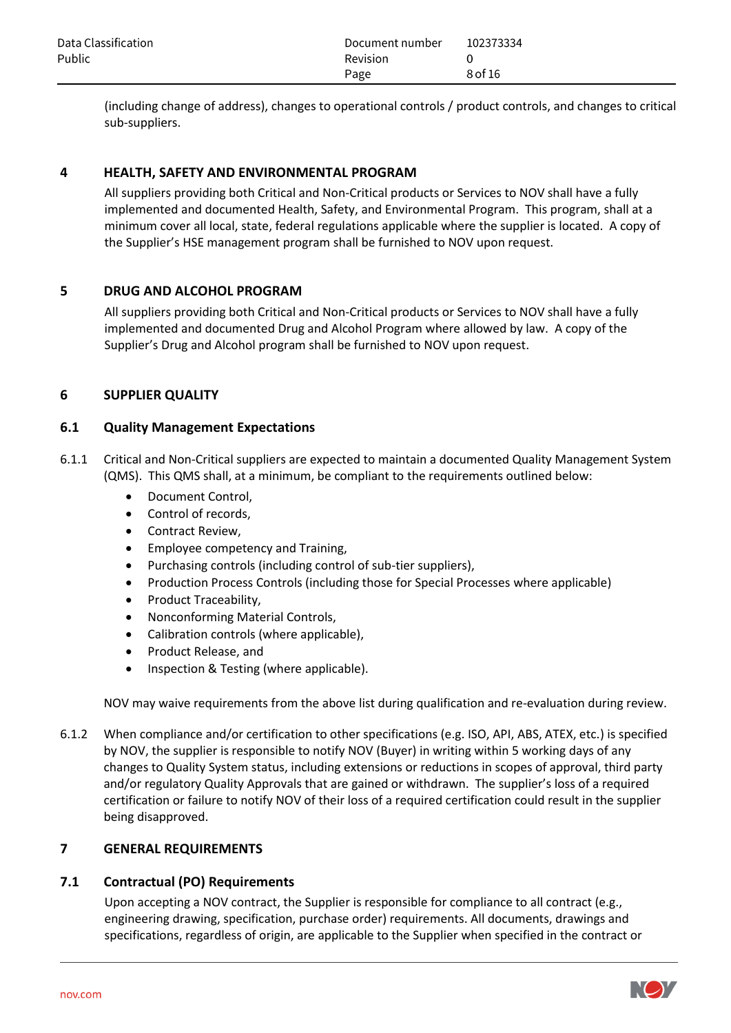| Data Classification | Document number | 102373334 |
|---------------------|-----------------|-----------|
| Public              | <b>Revision</b> |           |
|                     | Page            | 8 of 16   |

(including change of address), changes to operational controls / product controls, and changes to critical sub-suppliers.

## **4 HEALTH, SAFETY AND ENVIRONMENTAL PROGRAM**

All suppliers providing both Critical and Non-Critical products or Services to NOV shall have a fully implemented and documented Health, Safety, and Environmental Program. This program, shall at a minimum cover all local, state, federal regulations applicable where the supplier is located. A copy of the Supplier's HSE management program shall be furnished to NOV upon request.

#### **5 DRUG AND ALCOHOL PROGRAM**

All suppliers providing both Critical and Non-Critical products or Services to NOV shall have a fully implemented and documented Drug and Alcohol Program where allowed by law. A copy of the Supplier's Drug and Alcohol program shall be furnished to NOV upon request.

#### **6 SUPPLIER QUALITY**

#### **6.1 Quality Management Expectations**

- 6.1.1 Critical and Non-Critical suppliers are expected to maintain a documented Quality Management System (QMS). This QMS shall, at a minimum, be compliant to the requirements outlined below:
	- Document Control,
	- Control of records,
	- Contract Review,
	- Employee competency and Training,
	- Purchasing controls (including control of sub-tier suppliers),
	- Production Process Controls (including those for Special Processes where applicable)
	- Product Traceability,
	- Nonconforming Material Controls,
	- Calibration controls (where applicable),
	- Product Release, and
	- Inspection & Testing (where applicable).

NOV may waive requirements from the above list during qualification and re-evaluation during review.

6.1.2 When compliance and/or certification to other specifications (e.g. ISO, API, ABS, ATEX, etc.) is specified by NOV, the supplier is responsible to notify NOV (Buyer) in writing within 5 working days of any changes to Quality System status, including extensions or reductions in scopes of approval, third party and/or regulatory Quality Approvals that are gained or withdrawn. The supplier's loss of a required certification or failure to notify NOV of their loss of a required certification could result in the supplier being disapproved.

#### **7 GENERAL REQUIREMENTS**

#### **7.1 Contractual (PO) Requirements**

Upon accepting a NOV contract, the Supplier is responsible for compliance to all contract (e.g., engineering drawing, specification, purchase order) requirements. All documents, drawings and specifications, regardless of origin, are applicable to the Supplier when specified in the contract or

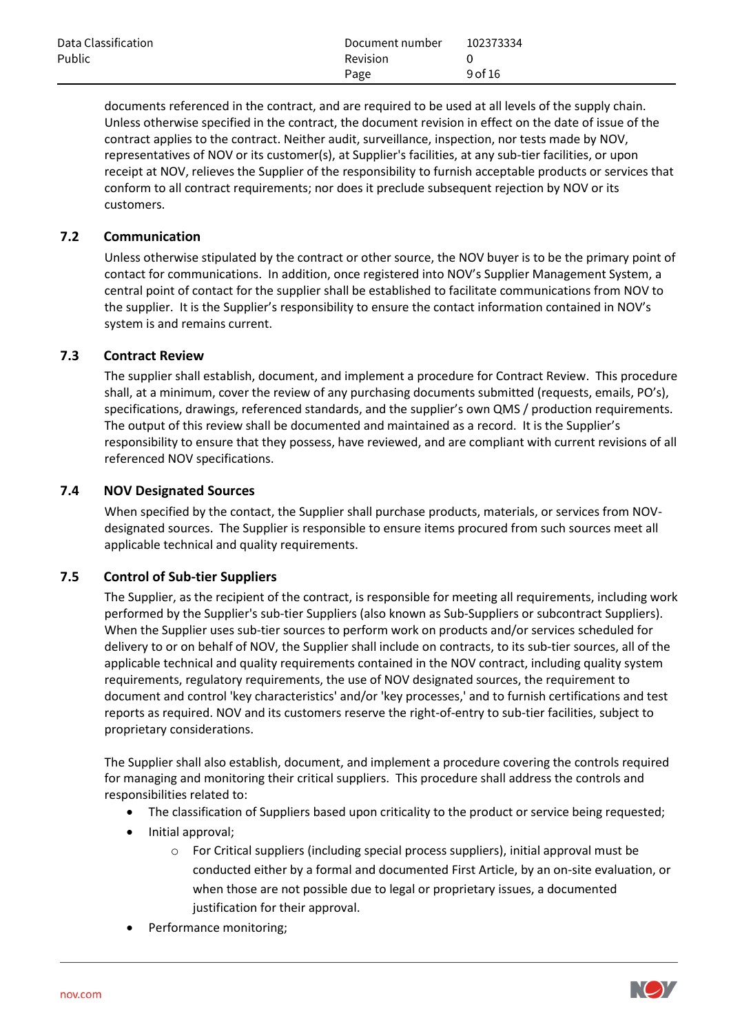| Data Classification | Document number | 102373334 |
|---------------------|-----------------|-----------|
| Public              | <b>Revision</b> |           |
|                     | Page            | 9 of 16   |

documents referenced in the contract, and are required to be used at all levels of the supply chain. Unless otherwise specified in the contract, the document revision in effect on the date of issue of the contract applies to the contract. Neither audit, surveillance, inspection, nor tests made by NOV, representatives of NOV or its customer(s), at Supplier's facilities, at any sub-tier facilities, or upon receipt at NOV, relieves the Supplier of the responsibility to furnish acceptable products or services that conform to all contract requirements; nor does it preclude subsequent rejection by NOV or its customers.

## **7.2 Communication**

Unless otherwise stipulated by the contract or other source, the NOV buyer is to be the primary point of contact for communications. In addition, once registered into NOV's Supplier Management System, a central point of contact for the supplier shall be established to facilitate communications from NOV to the supplier. It is the Supplier's responsibility to ensure the contact information contained in NOV's system is and remains current.

## **7.3 Contract Review**

The supplier shall establish, document, and implement a procedure for Contract Review. This procedure shall, at a minimum, cover the review of any purchasing documents submitted (requests, emails, PO's), specifications, drawings, referenced standards, and the supplier's own QMS / production requirements. The output of this review shall be documented and maintained as a record. It is the Supplier's responsibility to ensure that they possess, have reviewed, and are compliant with current revisions of all referenced NOV specifications.

## **7.4 NOV Designated Sources**

When specified by the contact, the Supplier shall purchase products, materials, or services from NOVdesignated sources. The Supplier is responsible to ensure items procured from such sources meet all applicable technical and quality requirements.

## **7.5 Control of Sub-tier Suppliers**

The Supplier, as the recipient of the contract, is responsible for meeting all requirements, including work performed by the Supplier's sub-tier Suppliers (also known as Sub-Suppliers or subcontract Suppliers). When the Supplier uses sub-tier sources to perform work on products and/or services scheduled for delivery to or on behalf of NOV, the Supplier shall include on contracts, to its sub-tier sources, all of the applicable technical and quality requirements contained in the NOV contract, including quality system requirements, regulatory requirements, the use of NOV designated sources, the requirement to document and control 'key characteristics' and/or 'key processes,' and to furnish certifications and test reports as required. NOV and its customers reserve the right-of-entry to sub-tier facilities, subject to proprietary considerations.

The Supplier shall also establish, document, and implement a procedure covering the controls required for managing and monitoring their critical suppliers. This procedure shall address the controls and responsibilities related to:

- The classification of Suppliers based upon criticality to the product or service being requested;
- Initial approval;
	- o For Critical suppliers (including special process suppliers), initial approval must be conducted either by a formal and documented First Article, by an on-site evaluation, or when those are not possible due to legal or proprietary issues, a documented justification for their approval.
- Performance monitoring;

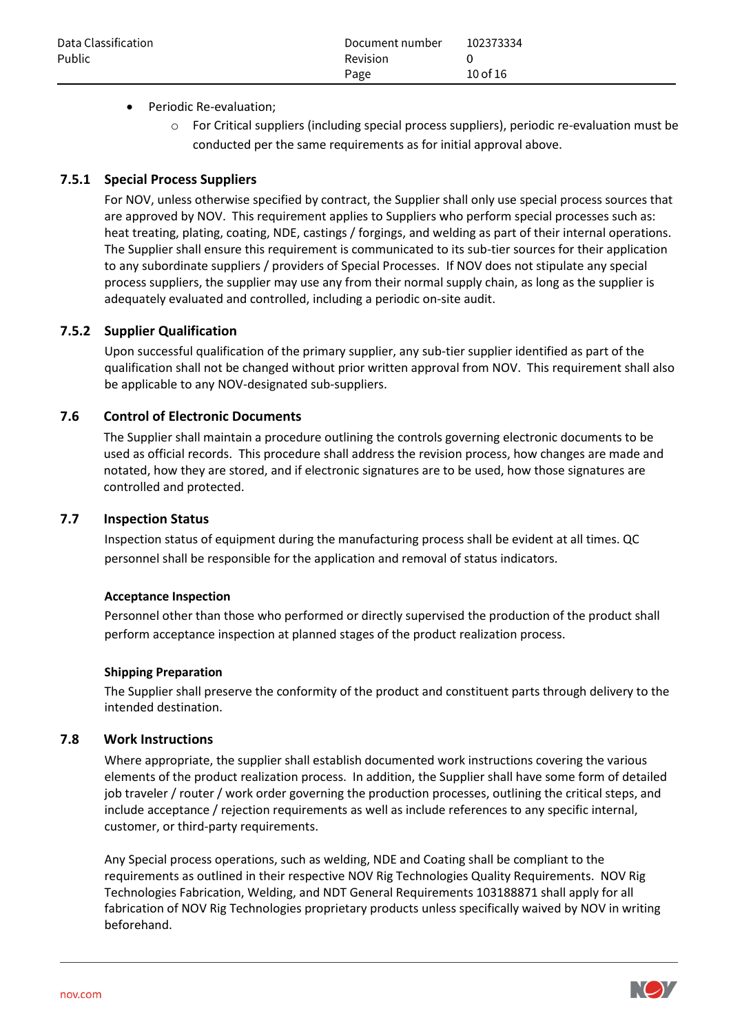## • Periodic Re-evaluation;

 $\circ$  For Critical suppliers (including special process suppliers), periodic re-evaluation must be conducted per the same requirements as for initial approval above.

## **7.5.1 Special Process Suppliers**

For NOV, unless otherwise specified by contract, the Supplier shall only use special process sources that are approved by NOV. This requirement applies to Suppliers who perform special processes such as: heat treating, plating, coating, NDE, castings / forgings, and welding as part of their internal operations. The Supplier shall ensure this requirement is communicated to its sub-tier sources for their application to any subordinate suppliers / providers of Special Processes. If NOV does not stipulate any special process suppliers, the supplier may use any from their normal supply chain, as long as the supplier is adequately evaluated and controlled, including a periodic on-site audit.

## **7.5.2 Supplier Qualification**

Upon successful qualification of the primary supplier, any sub-tier supplier identified as part of the qualification shall not be changed without prior written approval from NOV. This requirement shall also be applicable to any NOV-designated sub-suppliers.

## **7.6 Control of Electronic Documents**

The Supplier shall maintain a procedure outlining the controls governing electronic documents to be used as official records. This procedure shall address the revision process, how changes are made and notated, how they are stored, and if electronic signatures are to be used, how those signatures are controlled and protected.

## **7.7 Inspection Status**

Inspection status of equipment during the manufacturing process shall be evident at all times. QC personnel shall be responsible for the application and removal of status indicators.

#### **Acceptance Inspection**

Personnel other than those who performed or directly supervised the production of the product shall perform acceptance inspection at planned stages of the product realization process.

#### **Shipping Preparation**

The Supplier shall preserve the conformity of the product and constituent parts through delivery to the intended destination.

## **7.8 Work Instructions**

Where appropriate, the supplier shall establish documented work instructions covering the various elements of the product realization process. In addition, the Supplier shall have some form of detailed job traveler / router / work order governing the production processes, outlining the critical steps, and include acceptance / rejection requirements as well as include references to any specific internal, customer, or third-party requirements.

Any Special process operations, such as welding, NDE and Coating shall be compliant to the requirements as outlined in their respective NOV Rig Technologies Quality Requirements. NOV Rig Technologies Fabrication, Welding, and NDT General Requirements 103188871 shall apply for all fabrication of NOV Rig Technologies proprietary products unless specifically waived by NOV in writing beforehand.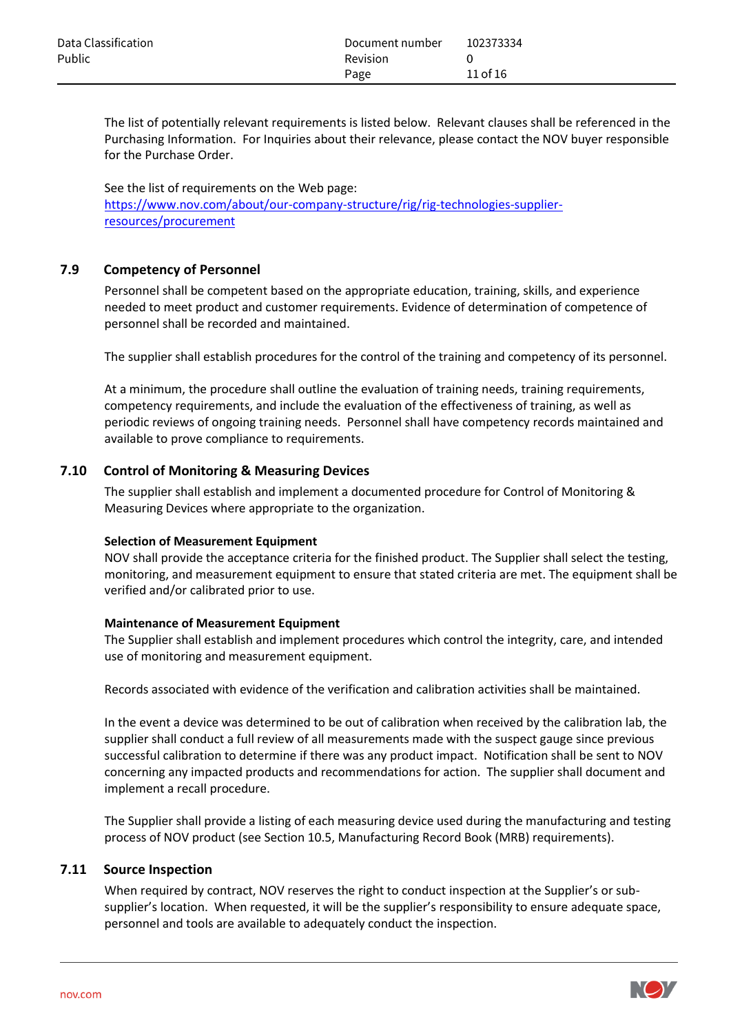| Data Classification | Document number | 102373334 |
|---------------------|-----------------|-----------|
| Public              | Revision        |           |
|                     | Page            | 11 of 16  |

The list of potentially relevant requirements is listed below. Relevant clauses shall be referenced in the Purchasing Information. For Inquiries about their relevance, please contact the NOV buyer responsible for the Purchase Order.

See the list of requirements on the Web page: [https://www.nov.com/about/our-company-structure/rig/rig-technologies-supplier](https://www.nov.com/about/our-company-structure/rig/rig-technologies-supplier-resources/procurement)[resources/procurement](https://www.nov.com/about/our-company-structure/rig/rig-technologies-supplier-resources/procurement)

## **7.9 Competency of Personnel**

Personnel shall be competent based on the appropriate education, training, skills, and experience needed to meet product and customer requirements. Evidence of determination of competence of personnel shall be recorded and maintained.

The supplier shall establish procedures for the control of the training and competency of its personnel.

At a minimum, the procedure shall outline the evaluation of training needs, training requirements, competency requirements, and include the evaluation of the effectiveness of training, as well as periodic reviews of ongoing training needs. Personnel shall have competency records maintained and available to prove compliance to requirements.

#### **7.10 Control of Monitoring & Measuring Devices**

The supplier shall establish and implement a documented procedure for Control of Monitoring & Measuring Devices where appropriate to the organization.

#### **Selection of Measurement Equipment**

NOV shall provide the acceptance criteria for the finished product. The Supplier shall select the testing, monitoring, and measurement equipment to ensure that stated criteria are met. The equipment shall be verified and/or calibrated prior to use.

#### **Maintenance of Measurement Equipment**

The Supplier shall establish and implement procedures which control the integrity, care, and intended use of monitoring and measurement equipment.

Records associated with evidence of the verification and calibration activities shall be maintained.

In the event a device was determined to be out of calibration when received by the calibration lab, the supplier shall conduct a full review of all measurements made with the suspect gauge since previous successful calibration to determine if there was any product impact. Notification shall be sent to NOV concerning any impacted products and recommendations for action. The supplier shall document and implement a recall procedure.

The Supplier shall provide a listing of each measuring device used during the manufacturing and testing process of NOV product (see Section 10.5, Manufacturing Record Book (MRB) requirements).

#### **7.11 Source Inspection**

When required by contract, NOV reserves the right to conduct inspection at the Supplier's or subsupplier's location. When requested, it will be the supplier's responsibility to ensure adequate space, personnel and tools are available to adequately conduct the inspection.

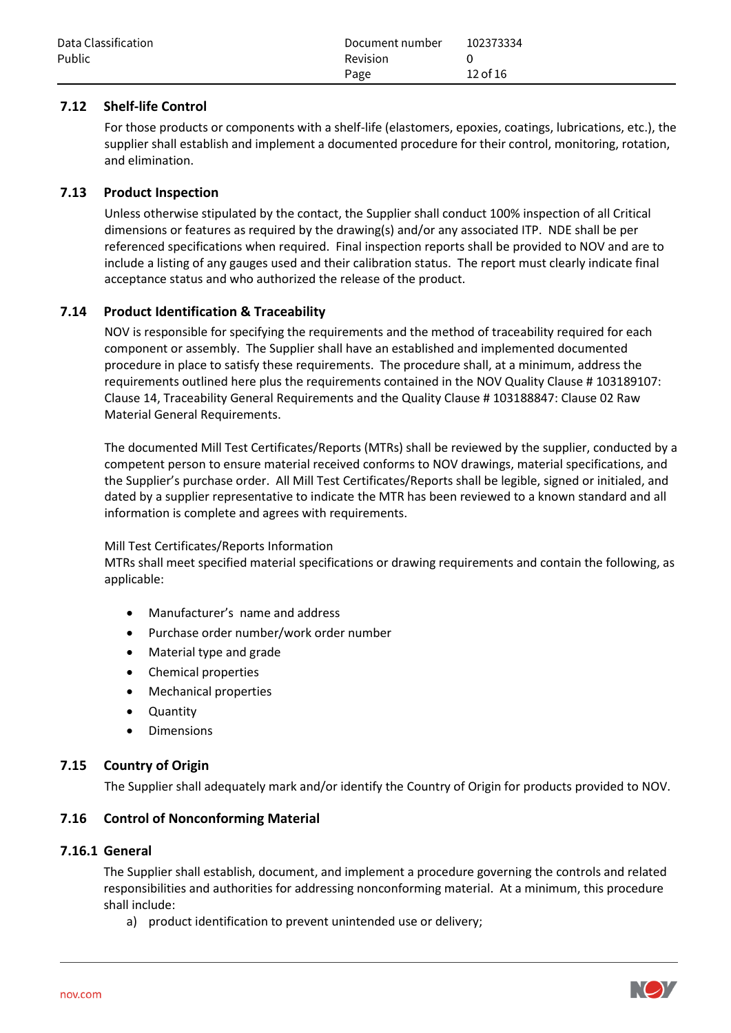| Data Classification | Document number | 102373334 |
|---------------------|-----------------|-----------|
| Public              | Revision        |           |
|                     | Page            | 12 of 16  |

## **7.12 Shelf-life Control**

For those products or components with a shelf-life (elastomers, epoxies, coatings, lubrications, etc.), the supplier shall establish and implement a documented procedure for their control, monitoring, rotation, and elimination.

## **7.13 Product Inspection**

Unless otherwise stipulated by the contact, the Supplier shall conduct 100% inspection of all Critical dimensions or features as required by the drawing(s) and/or any associated ITP. NDE shall be per referenced specifications when required. Final inspection reports shall be provided to NOV and are to include a listing of any gauges used and their calibration status. The report must clearly indicate final acceptance status and who authorized the release of the product.

## **7.14 Product Identification & Traceability**

NOV is responsible for specifying the requirements and the method of traceability required for each component or assembly. The Supplier shall have an established and implemented documented procedure in place to satisfy these requirements. The procedure shall, at a minimum, address the requirements outlined here plus the requirements contained in the NOV Quality Clause # 103189107: Clause 14, Traceability General Requirements and the Quality Clause # 103188847: Clause 02 Raw Material General Requirements.

The documented Mill Test Certificates/Reports (MTRs) shall be reviewed by the supplier, conducted by a competent person to ensure material received conforms to NOV drawings, material specifications, and the Supplier's purchase order. All Mill Test Certificates/Reports shall be legible, signed or initialed, and dated by a supplier representative to indicate the MTR has been reviewed to a known standard and all information is complete and agrees with requirements.

#### Mill Test Certificates/Reports Information

MTRs shall meet specified material specifications or drawing requirements and contain the following, as applicable:

- Manufacturer's name and address
- Purchase order number/work order number
- Material type and grade
- Chemical properties
- Mechanical properties
- Quantity
- Dimensions

## **7.15 Country of Origin**

The Supplier shall adequately mark and/or identify the Country of Origin for products provided to NOV.

#### **7.16 Control of Nonconforming Material**

#### **7.16.1 General**

The Supplier shall establish, document, and implement a procedure governing the controls and related responsibilities and authorities for addressing nonconforming material. At a minimum, this procedure shall include:

a) product identification to prevent unintended use or delivery;

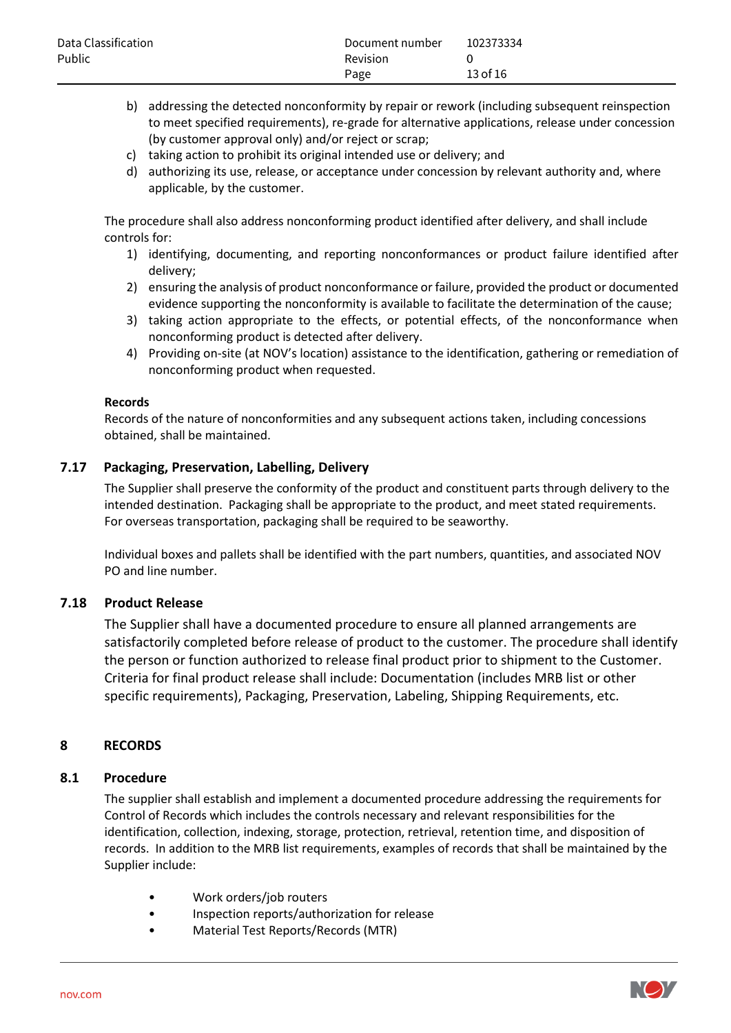- b) addressing the detected nonconformity by repair or rework (including subsequent reinspection to meet specified requirements), re-grade for alternative applications, release under concession (by customer approval only) and/or reject or scrap;
- c) taking action to prohibit its original intended use or delivery; and
- d) authorizing its use, release, or acceptance under concession by relevant authority and, where applicable, by the customer.

The procedure shall also address nonconforming product identified after delivery, and shall include controls for:

- 1) identifying, documenting, and reporting nonconformances or product failure identified after delivery;
- 2) ensuring the analysis of product nonconformance or failure, provided the product or documented evidence supporting the nonconformity is available to facilitate the determination of the cause;
- 3) taking action appropriate to the effects, or potential effects, of the nonconformance when nonconforming product is detected after delivery.
- 4) Providing on-site (at NOV's location) assistance to the identification, gathering or remediation of nonconforming product when requested.

#### **Records**

Records of the nature of nonconformities and any subsequent actions taken, including concessions obtained, shall be maintained.

## **7.17 Packaging, Preservation, Labelling, Delivery**

The Supplier shall preserve the conformity of the product and constituent parts through delivery to the intended destination. Packaging shall be appropriate to the product, and meet stated requirements. For overseas transportation, packaging shall be required to be seaworthy.

Individual boxes and pallets shall be identified with the part numbers, quantities, and associated NOV PO and line number.

#### **7.18 Product Release**

The Supplier shall have a documented procedure to ensure all planned arrangements are satisfactorily completed before release of product to the customer. The procedure shall identify the person or function authorized to release final product prior to shipment to the Customer. Criteria for final product release shall include: Documentation (includes MRB list or other specific requirements), Packaging, Preservation, Labeling, Shipping Requirements, etc.

## **8 RECORDS**

#### **8.1 Procedure**

The supplier shall establish and implement a documented procedure addressing the requirements for Control of Records which includes the controls necessary and relevant responsibilities for the identification, collection, indexing, storage, protection, retrieval, retention time, and disposition of records. In addition to the MRB list requirements, examples of records that shall be maintained by the Supplier include:

- Work orders/job routers
- Inspection reports/authorization for release
- Material Test Reports/Records (MTR)

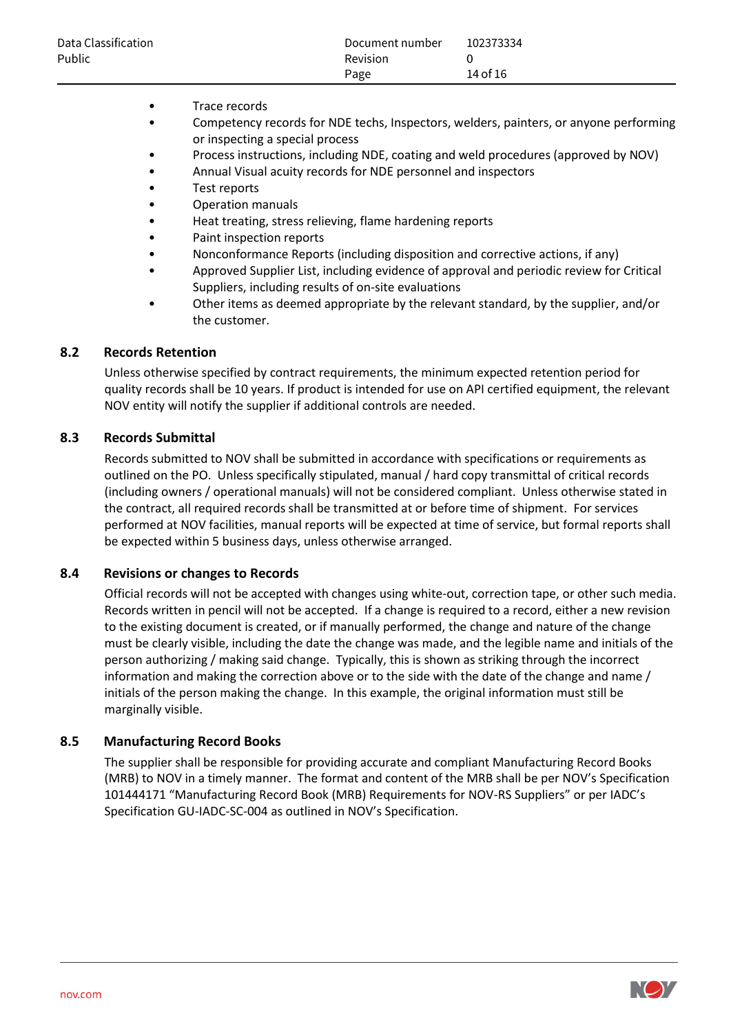| Data Classification | Document number | 102373334 |
|---------------------|-----------------|-----------|
| Public              | <b>Revision</b> |           |
|                     | Page            | 14 of 16  |

- Trace records
- Competency records for NDE techs, Inspectors, welders, painters, or anyone performing or inspecting a special process
- Process instructions, including NDE, coating and weld procedures (approved by NOV)
- Annual Visual acuity records for NDE personnel and inspectors
- Test reports
- Operation manuals
- Heat treating, stress relieving, flame hardening reports
- Paint inspection reports
- Nonconformance Reports (including disposition and corrective actions, if any)
- Approved Supplier List, including evidence of approval and periodic review for Critical Suppliers, including results of on-site evaluations
- Other items as deemed appropriate by the relevant standard, by the supplier, and/or the customer.

#### **8.2 Records Retention**

Unless otherwise specified by contract requirements, the minimum expected retention period for quality records shall be 10 years. If product is intended for use on API certified equipment, the relevant NOV entity will notify the supplier if additional controls are needed.

#### **8.3 Records Submittal**

Records submitted to NOV shall be submitted in accordance with specifications or requirements as outlined on the PO. Unless specifically stipulated, manual / hard copy transmittal of critical records (including owners / operational manuals) will not be considered compliant. Unless otherwise stated in the contract, all required records shall be transmitted at or before time of shipment. For services performed at NOV facilities, manual reports will be expected at time of service, but formal reports shall be expected within 5 business days, unless otherwise arranged.

#### **8.4 Revisions or changes to Records**

Official records will not be accepted with changes using white-out, correction tape, or other such media. Records written in pencil will not be accepted. If a change is required to a record, either a new revision to the existing document is created, or if manually performed, the change and nature of the change must be clearly visible, including the date the change was made, and the legible name and initials of the person authorizing / making said change. Typically, this is shown as striking through the incorrect information and making the correction above or to the side with the date of the change and name / initials of the person making the change. In this example, the original information must still be marginally visible.

#### **8.5 Manufacturing Record Books**

The supplier shall be responsible for providing accurate and compliant Manufacturing Record Books (MRB) to NOV in a timely manner. The format and content of the MRB shall be per NOV's Specification 101444171 "Manufacturing Record Book (MRB) Requirements for NOV-RS Suppliers" or per IADC's Specification GU-IADC-SC-004 as outlined in NOV's Specification.

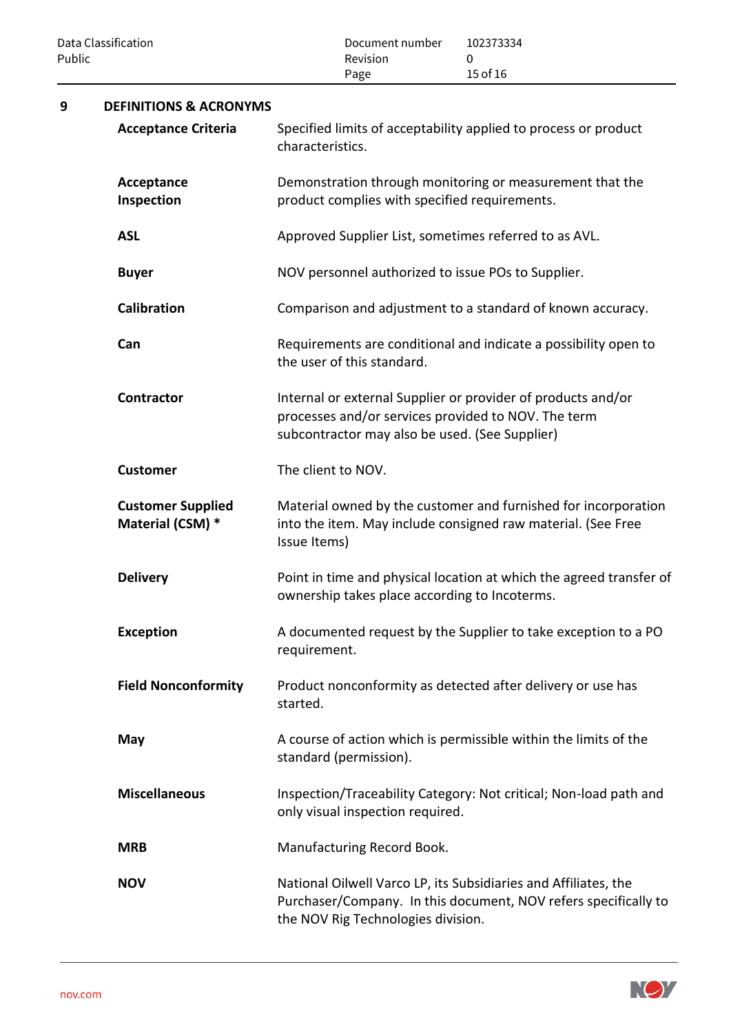| Public | Data Classification                          | Document number<br>Revision<br>Page                                                                   | 102373334<br>0<br>15 of 16                                                                                                         |  |  |  |
|--------|----------------------------------------------|-------------------------------------------------------------------------------------------------------|------------------------------------------------------------------------------------------------------------------------------------|--|--|--|
| 9      | <b>DEFINITIONS &amp; ACRONYMS</b>            |                                                                                                       |                                                                                                                                    |  |  |  |
|        | <b>Acceptance Criteria</b>                   | characteristics.                                                                                      | Specified limits of acceptability applied to process or product                                                                    |  |  |  |
|        | Acceptance<br>Inspection                     | product complies with specified requirements.                                                         | Demonstration through monitoring or measurement that the                                                                           |  |  |  |
|        | <b>ASL</b>                                   | Approved Supplier List, sometimes referred to as AVL.                                                 |                                                                                                                                    |  |  |  |
|        | <b>Buyer</b>                                 | NOV personnel authorized to issue POs to Supplier.                                                    |                                                                                                                                    |  |  |  |
|        | <b>Calibration</b>                           |                                                                                                       | Comparison and adjustment to a standard of known accuracy.                                                                         |  |  |  |
|        | Can                                          | Requirements are conditional and indicate a possibility open to<br>the user of this standard.         |                                                                                                                                    |  |  |  |
|        | <b>Contractor</b>                            | processes and/or services provided to NOV. The term<br>subcontractor may also be used. (See Supplier) | Internal or external Supplier or provider of products and/or                                                                       |  |  |  |
|        | <b>Customer</b>                              | The client to NOV.                                                                                    |                                                                                                                                    |  |  |  |
|        | <b>Customer Supplied</b><br>Material (CSM) * | Issue Items)                                                                                          | Material owned by the customer and furnished for incorporation<br>into the item. May include consigned raw material. (See Free     |  |  |  |
|        | <b>Delivery</b>                              | ownership takes place according to Incoterms.                                                         | Point in time and physical location at which the agreed transfer of                                                                |  |  |  |
|        | <b>Exception</b>                             | requirement.                                                                                          | A documented request by the Supplier to take exception to a PO                                                                     |  |  |  |
|        | <b>Field Nonconformity</b>                   | started.                                                                                              | Product nonconformity as detected after delivery or use has                                                                        |  |  |  |
|        | May                                          | standard (permission).                                                                                | A course of action which is permissible within the limits of the                                                                   |  |  |  |
|        | <b>Miscellaneous</b>                         | only visual inspection required.                                                                      | Inspection/Traceability Category: Not critical; Non-load path and                                                                  |  |  |  |
|        | <b>MRB</b>                                   | Manufacturing Record Book.                                                                            |                                                                                                                                    |  |  |  |
|        | <b>NOV</b>                                   | the NOV Rig Technologies division.                                                                    | National Oilwell Varco LP, its Subsidiaries and Affiliates, the<br>Purchaser/Company. In this document, NOV refers specifically to |  |  |  |